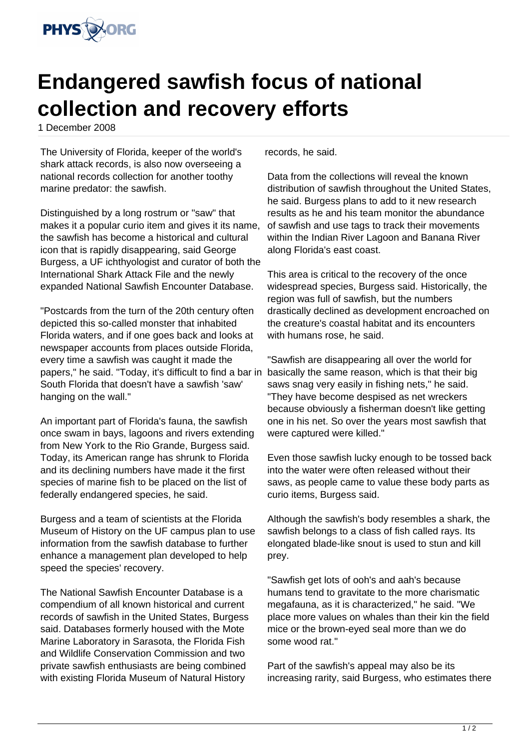

## **Endangered sawfish focus of national collection and recovery efforts**

1 December 2008

The University of Florida, keeper of the world's shark attack records, is also now overseeing a national records collection for another toothy marine predator: the sawfish.

Distinguished by a long rostrum or "saw" that makes it a popular curio item and gives it its name, the sawfish has become a historical and cultural icon that is rapidly disappearing, said George Burgess, a UF ichthyologist and curator of both the International Shark Attack File and the newly expanded National Sawfish Encounter Database.

"Postcards from the turn of the 20th century often depicted this so-called monster that inhabited Florida waters, and if one goes back and looks at newspaper accounts from places outside Florida, every time a sawfish was caught it made the papers," he said. "Today, it's difficult to find a bar in basically the same reason, which is that their big South Florida that doesn't have a sawfish 'saw' hanging on the wall."

An important part of Florida's fauna, the sawfish once swam in bays, lagoons and rivers extending from New York to the Rio Grande, Burgess said. Today, its American range has shrunk to Florida and its declining numbers have made it the first species of marine fish to be placed on the list of federally endangered species, he said.

Burgess and a team of scientists at the Florida Museum of History on the UF campus plan to use information from the sawfish database to further enhance a management plan developed to help speed the species' recovery.

The National Sawfish Encounter Database is a compendium of all known historical and current records of sawfish in the United States, Burgess said. Databases formerly housed with the Mote Marine Laboratory in Sarasota, the Florida Fish and Wildlife Conservation Commission and two private sawfish enthusiasts are being combined with existing Florida Museum of Natural History

records, he said.

Data from the collections will reveal the known distribution of sawfish throughout the United States, he said. Burgess plans to add to it new research results as he and his team monitor the abundance of sawfish and use tags to track their movements within the Indian River Lagoon and Banana River along Florida's east coast.

This area is critical to the recovery of the once widespread species, Burgess said. Historically, the region was full of sawfish, but the numbers drastically declined as development encroached on the creature's coastal habitat and its encounters with humans rose, he said.

"Sawfish are disappearing all over the world for saws snag very easily in fishing nets," he said. "They have become despised as net wreckers because obviously a fisherman doesn't like getting one in his net. So over the years most sawfish that were captured were killed."

Even those sawfish lucky enough to be tossed back into the water were often released without their saws, as people came to value these body parts as curio items, Burgess said.

Although the sawfish's body resembles a shark, the sawfish belongs to a class of fish called rays. Its elongated blade-like snout is used to stun and kill prey.

"Sawfish get lots of ooh's and aah's because humans tend to gravitate to the more charismatic megafauna, as it is characterized," he said. "We place more values on whales than their kin the field mice or the brown-eyed seal more than we do some wood rat."

Part of the sawfish's appeal may also be its increasing rarity, said Burgess, who estimates there